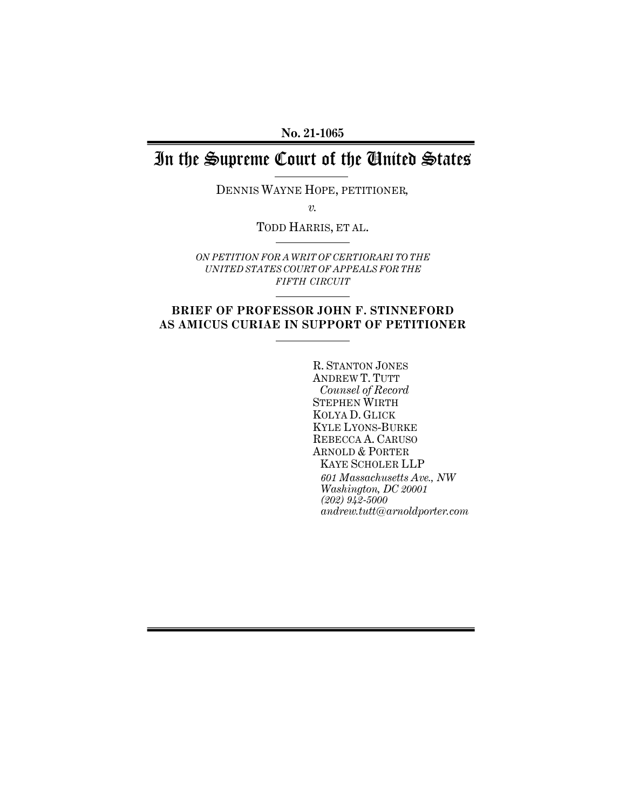**No. 21-1065** 

# In the Supreme Court of the United States

DENNIS WAYNE HOPE, PETITIONER*,*

*v.* 

TODD HARRIS, ET AL.

*ON PETITION FOR A WRIT OF CERTIORARI TO THE UNITED STATES COURT OF APPEALS FOR THE FIFTH CIRCUIT*

## **BRIEF OF PROFESSOR JOHN F. STINNEFORD AS AMICUS CURIAE IN SUPPORT OF PETITIONER**

R. STANTON JONES ANDREW T. TUTT *Counsel of Record* STEPHEN WIRTH KOLYA D. GLICK KYLE LYONS-BURKE REBECCA A. CARUSO ARNOLD & PORTER KAYE SCHOLER LLP *601 Massachusetts Ave., NW Washington, DC 20001 (202) 942-5000 andrew.tutt@arnoldporter.com*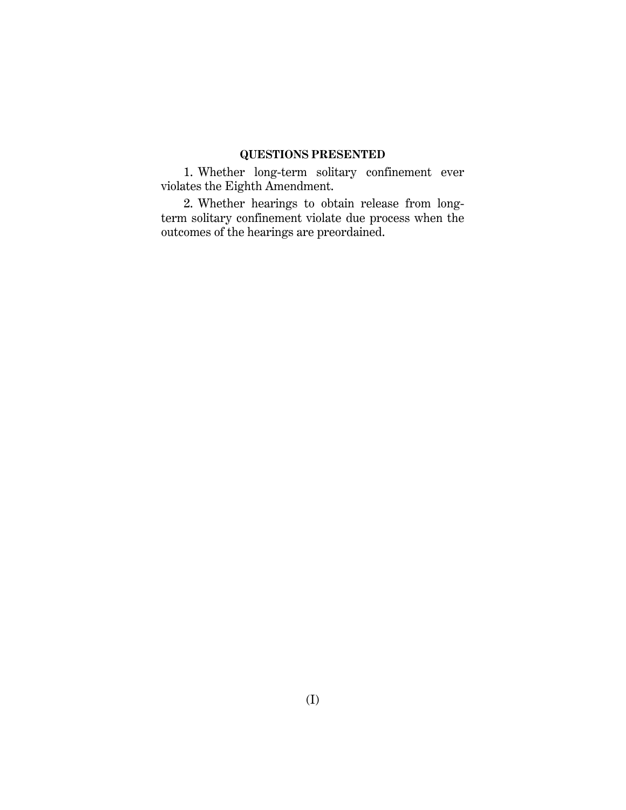## **QUESTIONS PRESENTED**

1. Whether long-term solitary confinement ever violates the Eighth Amendment.

2. Whether hearings to obtain release from longterm solitary confinement violate due process when the outcomes of the hearings are preordained.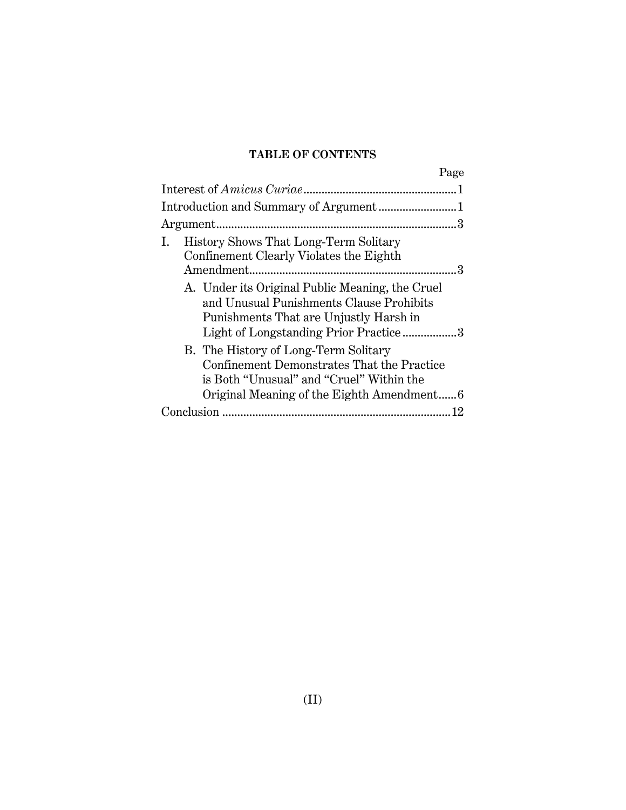# **TABLE OF CONTENTS**

| Page                                                                                                                                                                           |  |
|--------------------------------------------------------------------------------------------------------------------------------------------------------------------------------|--|
|                                                                                                                                                                                |  |
|                                                                                                                                                                                |  |
|                                                                                                                                                                                |  |
| History Shows That Long-Term Solitary<br>Confinement Clearly Violates the Eighth                                                                                               |  |
| A. Under its Original Public Meaning, the Cruel<br>and Unusual Punishments Clause Prohibits<br>Punishments That are Unjustly Harsh in<br>Light of Longstanding Prior Practice3 |  |
| B. The History of Long-Term Solitary<br>Confinement Demonstrates That the Practice<br>is Both "Unusual" and "Cruel" Within the<br>Original Meaning of the Eighth Amendment6    |  |
|                                                                                                                                                                                |  |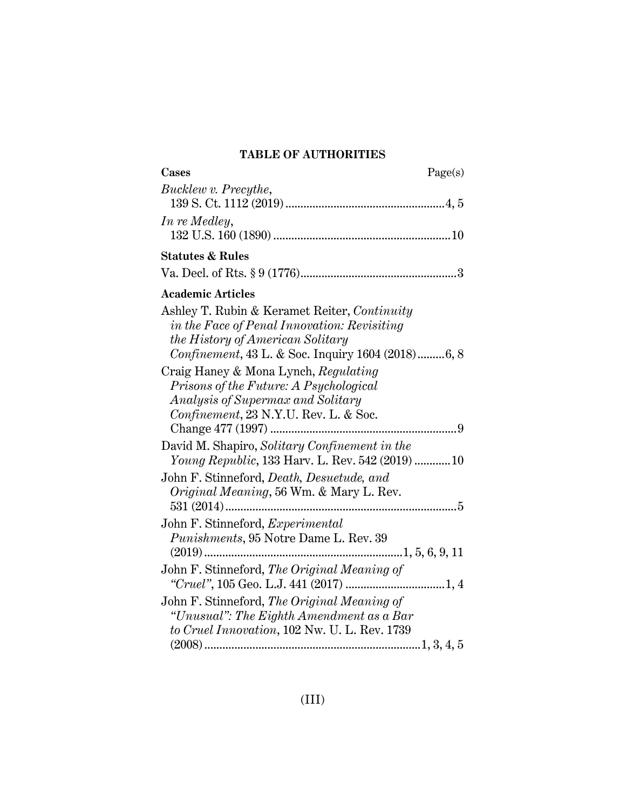# **TABLE OF AUTHORITIES**

| Cases<br>Page(s)                                                                                  |
|---------------------------------------------------------------------------------------------------|
| Bucklew v. Precythe,                                                                              |
|                                                                                                   |
| In re Medley,                                                                                     |
|                                                                                                   |
| <b>Statutes &amp; Rules</b>                                                                       |
|                                                                                                   |
| <b>Academic Articles</b>                                                                          |
| Ashley T. Rubin & Keramet Reiter, Continuity                                                      |
| in the Face of Penal Innovation: Revisiting                                                       |
| the History of American Solitary                                                                  |
| Confinement, 43 L. & Soc. Inquiry 1604 (2018)6, 8                                                 |
| Craig Haney & Mona Lynch, Regulating                                                              |
| Prisons of the Future: A Psychological                                                            |
| Analysis of Supermax and Solitary                                                                 |
| Confinement, 23 N.Y.U. Rev. L. & Soc.                                                             |
|                                                                                                   |
| David M. Shapiro, Solitary Confinement in the<br>Young Republic, 133 Harv. L. Rev. 542 (2019)  10 |
|                                                                                                   |
| John F. Stinneford, Death, Desuetude, and                                                         |
| Original Meaning, 56 Wm. & Mary L. Rev.                                                           |
|                                                                                                   |
| John F. Stinneford, Experimental<br>Punishments, 95 Notre Dame L. Rev. 39                         |
|                                                                                                   |
| John F. Stinneford, The Original Meaning of                                                       |
|                                                                                                   |
| John F. Stinneford, The Original Meaning of                                                       |
| "Unusual": The Eighth Amendment as a Bar                                                          |
| to Cruel Innovation, 102 Nw. U. L. Rev. 1739                                                      |
|                                                                                                   |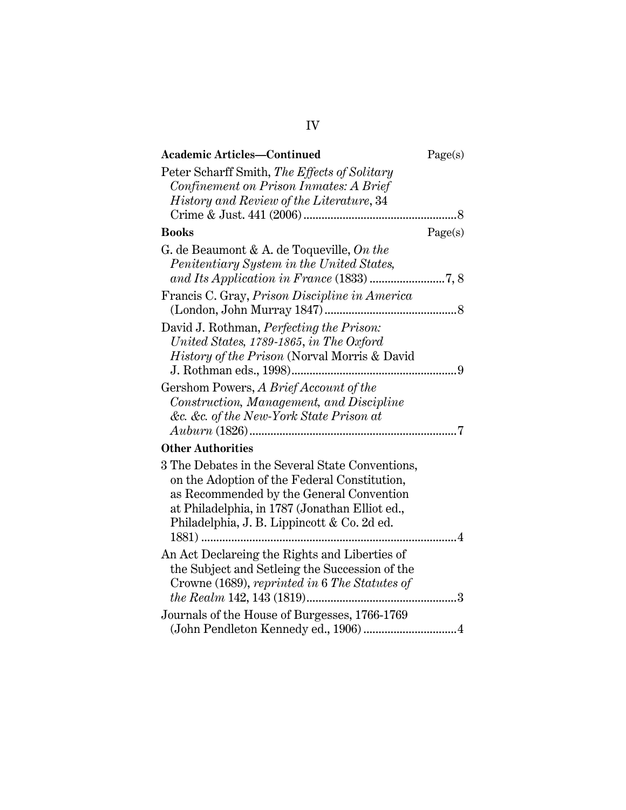| <b>Academic Articles-Continued</b>                                                                                                                                                                                                                    | Page(s) |
|-------------------------------------------------------------------------------------------------------------------------------------------------------------------------------------------------------------------------------------------------------|---------|
| Peter Scharff Smith, The Effects of Solitary                                                                                                                                                                                                          |         |
| Confinement on Prison Inmates: A Brief                                                                                                                                                                                                                |         |
| History and Review of the Literature, 34                                                                                                                                                                                                              |         |
|                                                                                                                                                                                                                                                       | 8       |
| <b>Books</b>                                                                                                                                                                                                                                          | Page(s) |
| G. de Beaumont & A. de Toqueville, On the<br>Penitentiary System in the United States,                                                                                                                                                                |         |
|                                                                                                                                                                                                                                                       |         |
| Francis C. Gray, Prison Discipline in America                                                                                                                                                                                                         |         |
| David J. Rothman, Perfecting the Prison:<br>United States, 1789-1865, in The Oxford<br>History of the Prison (Norval Morris & David                                                                                                                   |         |
|                                                                                                                                                                                                                                                       |         |
| Gershom Powers, A Brief Account of the<br>Construction, Management, and Discipline<br>&c. &c. of the New-York State Prison at                                                                                                                         |         |
| <b>Other Authorities</b>                                                                                                                                                                                                                              |         |
| 3 The Debates in the Several State Conventions,<br>on the Adoption of the Federal Constitution,<br>as Recommended by the General Convention<br>at Philadelphia, in 1787 (Jonathan Elliot ed.,<br>Philadelphia, J. B. Lippincott & Co. 2d ed.<br>1881) | . 4     |
| An Act Declareing the Rights and Liberties of<br>the Subject and Setleing the Succession of the<br>Crowne (1689), reprinted in 6 The Statutes of                                                                                                      |         |
| Journals of the House of Burgesses, 1766-1769                                                                                                                                                                                                         |         |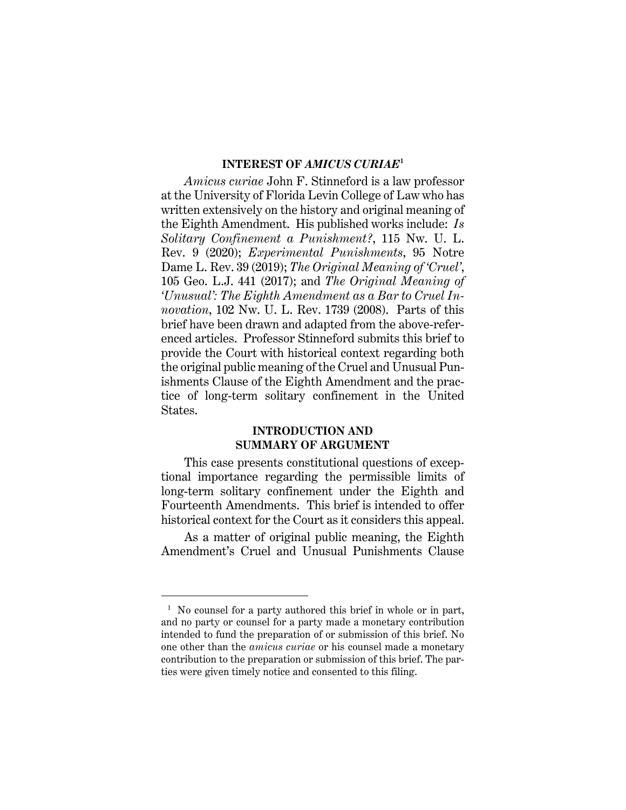#### **INTEREST OF** *AMICUS CURIAE***<sup>1</sup>**

*Amicus curiae* John F. Stinneford is a law professor at the University of Florida Levin College of Law who has written extensively on the history and original meaning of the Eighth Amendment. His published works include: *Is Solitary Confinement a Punishment?*, 115 Nw. U. L. Rev. 9 (2020); *Experimental Punishments*, 95 Notre Dame L. Rev. 39 (2019); *The Original Meaning of 'Cruel'*, 105 Geo. L.J. 441 (2017); and *The Original Meaning of 'Unusual': The Eighth Amendment as a Bar to Cruel Innovation*, 102 Nw. U. L. Rev. 1739 (2008). Parts of this brief have been drawn and adapted from the above-referenced articles. Professor Stinneford submits this brief to provide the Court with historical context regarding both the original public meaning of the Cruel and Unusual Punishments Clause of the Eighth Amendment and the practice of long-term solitary confinement in the United States.

## **INTRODUCTION AND SUMMARY OF ARGUMENT**

This case presents constitutional questions of exceptional importance regarding the permissible limits of long-term solitary confinement under the Eighth and Fourteenth Amendments. This brief is intended to offer historical context for the Court as it considers this appeal.

As a matter of original public meaning, the Eighth Amendment's Cruel and Unusual Punishments Clause

<sup>&</sup>lt;sup>1</sup> No counsel for a party authored this brief in whole or in part, and no party or counsel for a party made a monetary contribution intended to fund the preparation of or submission of this brief. No one other than the *amicus curiae* or his counsel made a monetary contribution to the preparation or submission of this brief. The parties were given timely notice and consented to this filing.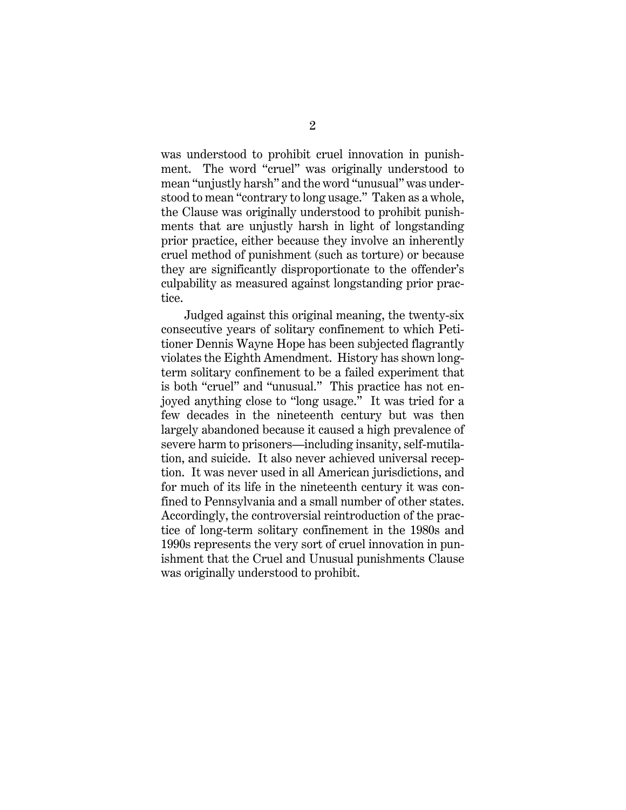was understood to prohibit cruel innovation in punishment. The word "cruel" was originally understood to mean "unjustly harsh" and the word "unusual" was understood to mean "contrary to long usage." Taken as a whole, the Clause was originally understood to prohibit punishments that are unjustly harsh in light of longstanding prior practice, either because they involve an inherently cruel method of punishment (such as torture) or because they are significantly disproportionate to the offender's culpability as measured against longstanding prior practice.

Judged against this original meaning, the twenty-six consecutive years of solitary confinement to which Petitioner Dennis Wayne Hope has been subjected flagrantly violates the Eighth Amendment. History has shown longterm solitary confinement to be a failed experiment that is both "cruel" and "unusual." This practice has not enjoyed anything close to "long usage." It was tried for a few decades in the nineteenth century but was then largely abandoned because it caused a high prevalence of severe harm to prisoners—including insanity, self-mutilation, and suicide. It also never achieved universal reception. It was never used in all American jurisdictions, and for much of its life in the nineteenth century it was confined to Pennsylvania and a small number of other states. Accordingly, the controversial reintroduction of the practice of long-term solitary confinement in the 1980s and 1990s represents the very sort of cruel innovation in punishment that the Cruel and Unusual punishments Clause was originally understood to prohibit.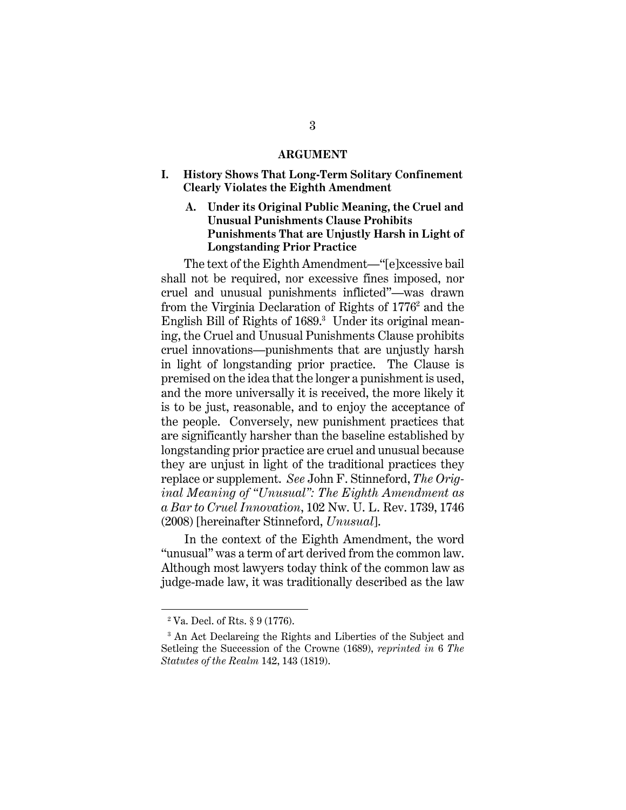#### **ARGUMENT**

**I. History Shows That Long-Term Solitary Confinement Clearly Violates the Eighth Amendment** 

#### **A. Under its Original Public Meaning, the Cruel and Unusual Punishments Clause Prohibits Punishments That are Unjustly Harsh in Light of Longstanding Prior Practice**

The text of the Eighth Amendment—"[e]xcessive bail shall not be required, nor excessive fines imposed, nor cruel and unusual punishments inflicted"—was drawn from the Virginia Declaration of Rights of 1776<sup>2</sup> and the English Bill of Rights of 1689.<sup>3</sup> Under its original meaning, the Cruel and Unusual Punishments Clause prohibits cruel innovations—punishments that are unjustly harsh in light of longstanding prior practice. The Clause is premised on the idea that the longer a punishment is used, and the more universally it is received, the more likely it is to be just, reasonable, and to enjoy the acceptance of the people. Conversely, new punishment practices that are significantly harsher than the baseline established by longstanding prior practice are cruel and unusual because they are unjust in light of the traditional practices they replace or supplement. *See* John F. Stinneford, *The Original Meaning of "Unusual": The Eighth Amendment as a Bar to Cruel Innovation*, 102 Nw. U. L. Rev. 1739, 1746 (2008) [hereinafter Stinneford, *Unusual*].

In the context of the Eighth Amendment, the word "unusual" was a term of art derived from the common law. Although most lawyers today think of the common law as judge-made law, it was traditionally described as the law

 $2 Va$ . Decl. of Rts. § 9 (1776).

<sup>&</sup>lt;sup>3</sup> An Act Declareing the Rights and Liberties of the Subject and Setleing the Succession of the Crowne (1689), *reprinted in* 6 *The Statutes of the Realm* 142, 143 (1819).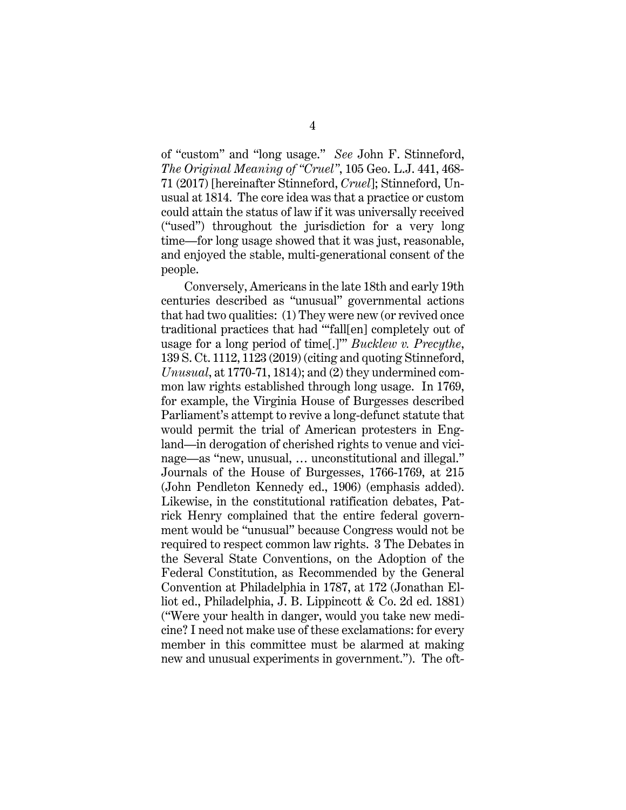of "custom" and "long usage." *See* John F. Stinneford, *The Original Meaning of "Cruel"*, 105 Geo. L.J. 441, 468- 71 (2017) [hereinafter Stinneford, *Cruel*]; Stinneford, Unusual at 1814. The core idea was that a practice or custom could attain the status of law if it was universally received ("used") throughout the jurisdiction for a very long time—for long usage showed that it was just, reasonable, and enjoyed the stable, multi-generational consent of the people.

Conversely, Americans in the late 18th and early 19th centuries described as "unusual" governmental actions that had two qualities: (1) They were new (or revived once traditional practices that had "'fall[en] completely out of usage for a long period of time[.]'" *Bucklew v. Precythe*, 139 S. Ct. 1112, 1123 (2019) (citing and quoting Stinneford, *Unusual*, at 1770-71, 1814); and (2) they undermined common law rights established through long usage. In 1769, for example, the Virginia House of Burgesses described Parliament's attempt to revive a long-defunct statute that would permit the trial of American protesters in England—in derogation of cherished rights to venue and vicinage—as "new, unusual, … unconstitutional and illegal." Journals of the House of Burgesses, 1766-1769, at 215 (John Pendleton Kennedy ed., 1906) (emphasis added). Likewise, in the constitutional ratification debates, Patrick Henry complained that the entire federal government would be "unusual" because Congress would not be required to respect common law rights. 3 The Debates in the Several State Conventions, on the Adoption of the Federal Constitution, as Recommended by the General Convention at Philadelphia in 1787, at 172 (Jonathan Elliot ed., Philadelphia, J. B. Lippincott & Co. 2d ed. 1881) ("Were your health in danger, would you take new medicine? I need not make use of these exclamations: for every member in this committee must be alarmed at making new and unusual experiments in government."). The oft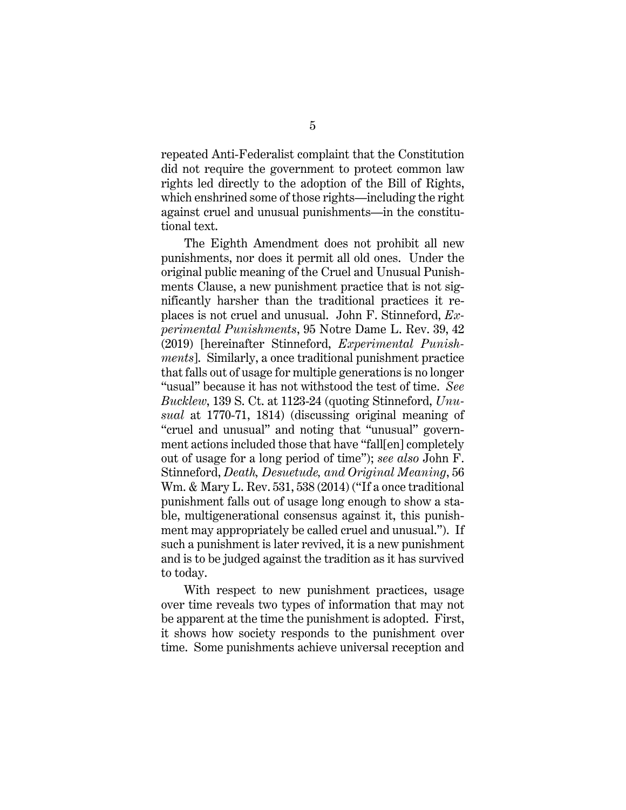repeated Anti-Federalist complaint that the Constitution did not require the government to protect common law rights led directly to the adoption of the Bill of Rights, which enshrined some of those rights—including the right against cruel and unusual punishments—in the constitutional text.

The Eighth Amendment does not prohibit all new punishments, nor does it permit all old ones. Under the original public meaning of the Cruel and Unusual Punishments Clause, a new punishment practice that is not significantly harsher than the traditional practices it replaces is not cruel and unusual. John F. Stinneford, *Experimental Punishments*, 95 Notre Dame L. Rev. 39, 42 (2019) [hereinafter Stinneford, *Experimental Punishments*]. Similarly, a once traditional punishment practice that falls out of usage for multiple generations is no longer "usual" because it has not withstood the test of time. *See Bucklew*, 139 S. Ct. at 1123-24 (quoting Stinneford, *Unusual* at 1770-71, 1814) (discussing original meaning of "cruel and unusual" and noting that "unusual" government actions included those that have "fall[en] completely out of usage for a long period of time"); *see also* John F. Stinneford, *Death, Desuetude, and Original Meaning*, 56 Wm. & Mary L. Rev. 531, 538 (2014) ("If a once traditional punishment falls out of usage long enough to show a stable, multigenerational consensus against it, this punishment may appropriately be called cruel and unusual."). If such a punishment is later revived, it is a new punishment and is to be judged against the tradition as it has survived to today.

With respect to new punishment practices, usage over time reveals two types of information that may not be apparent at the time the punishment is adopted. First, it shows how society responds to the punishment over time. Some punishments achieve universal reception and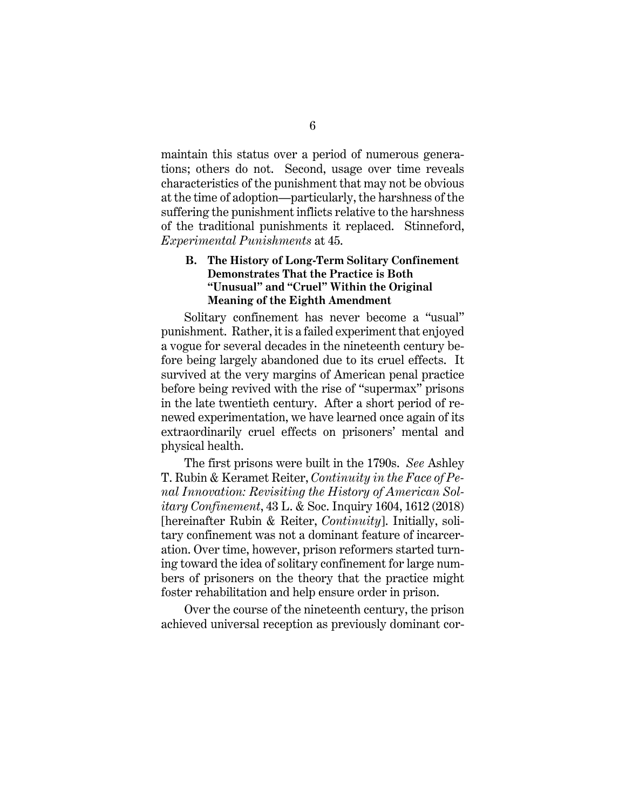maintain this status over a period of numerous generations; others do not. Second, usage over time reveals characteristics of the punishment that may not be obvious at the time of adoption—particularly, the harshness of the suffering the punishment inflicts relative to the harshness of the traditional punishments it replaced. Stinneford, *Experimental Punishments* at 45.

### **B. The History of Long-Term Solitary Confinement Demonstrates That the Practice is Both "Unusual" and "Cruel" Within the Original Meaning of the Eighth Amendment**

Solitary confinement has never become a "usual" punishment. Rather, it is a failed experiment that enjoyed a vogue for several decades in the nineteenth century before being largely abandoned due to its cruel effects. It survived at the very margins of American penal practice before being revived with the rise of "supermax" prisons in the late twentieth century. After a short period of renewed experimentation, we have learned once again of its extraordinarily cruel effects on prisoners' mental and physical health.

The first prisons were built in the 1790s. *See* Ashley T. Rubin & Keramet Reiter, *Continuity in the Face of Penal Innovation: Revisiting the History of American Solitary Confinement*, 43 L. & Soc. Inquiry 1604, 1612 (2018) [hereinafter Rubin & Reiter, *Continuity*]. Initially, solitary confinement was not a dominant feature of incarceration. Over time, however, prison reformers started turning toward the idea of solitary confinement for large numbers of prisoners on the theory that the practice might foster rehabilitation and help ensure order in prison.

Over the course of the nineteenth century, the prison achieved universal reception as previously dominant cor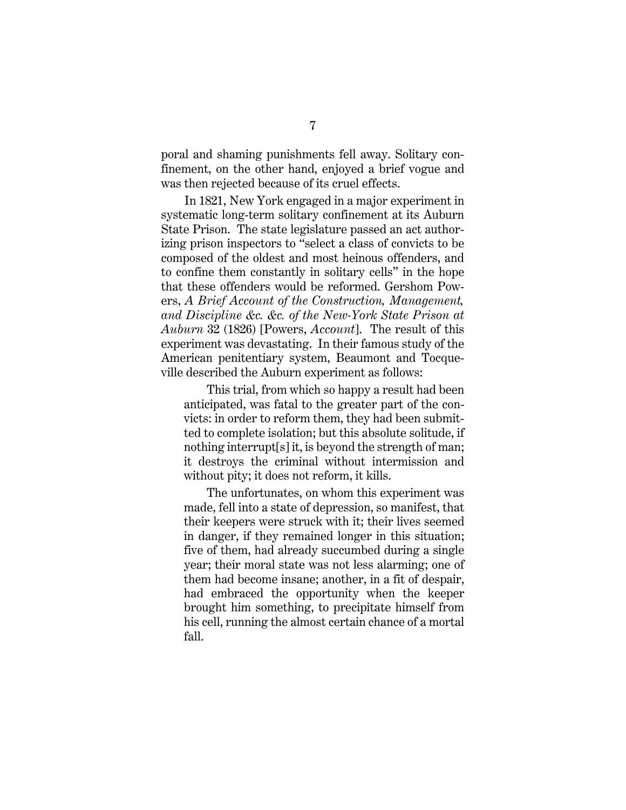poral and shaming punishments fell away. Solitary confinement, on the other hand, enjoyed a brief vogue and was then rejected because of its cruel effects.

In 1821, New York engaged in a major experiment in systematic long-term solitary confinement at its Auburn State Prison. The state legislature passed an act authorizing prison inspectors to "select a class of convicts to be composed of the oldest and most heinous offenders, and to confine them constantly in solitary cells" in the hope that these offenders would be reformed. Gershom Powers, *A Brief Account of the Construction, Management, and Discipline &c. &c. of the New-York State Prison at Auburn* 32 (1826) [Powers, *Account*]. The result of this experiment was devastating. In their famous study of the American penitentiary system, Beaumont and Tocqueville described the Auburn experiment as follows:

This trial, from which so happy a result had been anticipated, was fatal to the greater part of the convicts: in order to reform them, they had been submitted to complete isolation; but this absolute solitude, if nothing interrupt[s] it, is beyond the strength of man; it destroys the criminal without intermission and without pity; it does not reform, it kills.

The unfortunates, on whom this experiment was made, fell into a state of depression, so manifest, that their keepers were struck with it; their lives seemed in danger, if they remained longer in this situation; five of them, had already succumbed during a single year; their moral state was not less alarming; one of them had become insane; another, in a fit of despair, had embraced the opportunity when the keeper brought him something, to precipitate himself from his cell, running the almost certain chance of a mortal fall.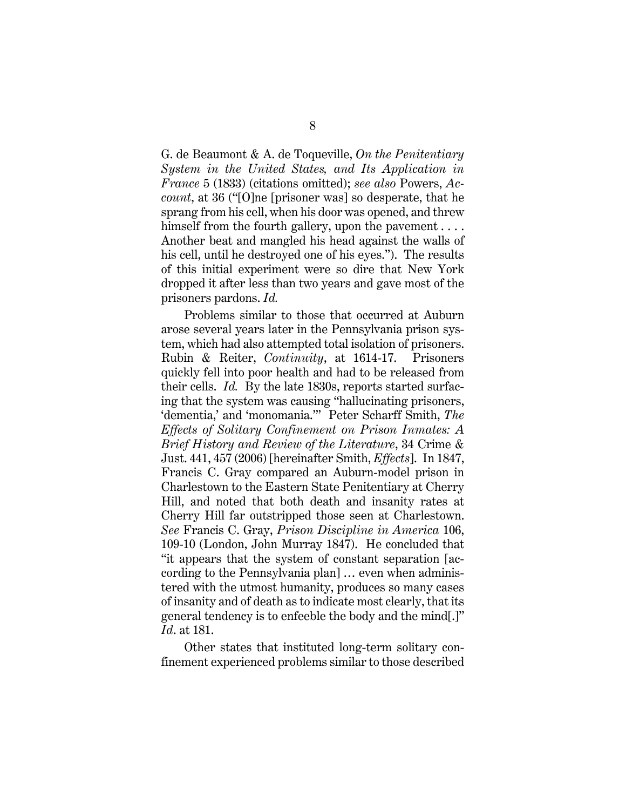G. de Beaumont & A. de Toqueville, *On the Penitentiary System in the United States, and Its Application in France* 5 (1833) (citations omitted); *see also* Powers, *Account*, at 36 ("[O]ne [prisoner was] so desperate, that he sprang from his cell, when his door was opened, and threw himself from the fourth gallery, upon the pavement . . . . Another beat and mangled his head against the walls of his cell, until he destroyed one of his eyes."). The results of this initial experiment were so dire that New York dropped it after less than two years and gave most of the prisoners pardons. *Id.*

Problems similar to those that occurred at Auburn arose several years later in the Pennsylvania prison system, which had also attempted total isolation of prisoners. Rubin & Reiter, *Continuity*, at 1614-17. Prisoners quickly fell into poor health and had to be released from their cells. *Id.* By the late 1830s, reports started surfacing that the system was causing "hallucinating prisoners, 'dementia,' and 'monomania.'" Peter Scharff Smith, *The Effects of Solitary Confinement on Prison Inmates: A Brief History and Review of the Literature*, 34 Crime & Just. 441, 457 (2006) [hereinafter Smith, *Effects*]. In 1847, Francis C. Gray compared an Auburn-model prison in Charlestown to the Eastern State Penitentiary at Cherry Hill, and noted that both death and insanity rates at Cherry Hill far outstripped those seen at Charlestown. *See* Francis C. Gray, *Prison Discipline in America* 106, 109-10 (London, John Murray 1847). He concluded that "it appears that the system of constant separation [according to the Pennsylvania plan] … even when administered with the utmost humanity, produces so many cases of insanity and of death as to indicate most clearly, that its general tendency is to enfeeble the body and the mind[.]" *Id*. at 181.

Other states that instituted long-term solitary confinement experienced problems similar to those described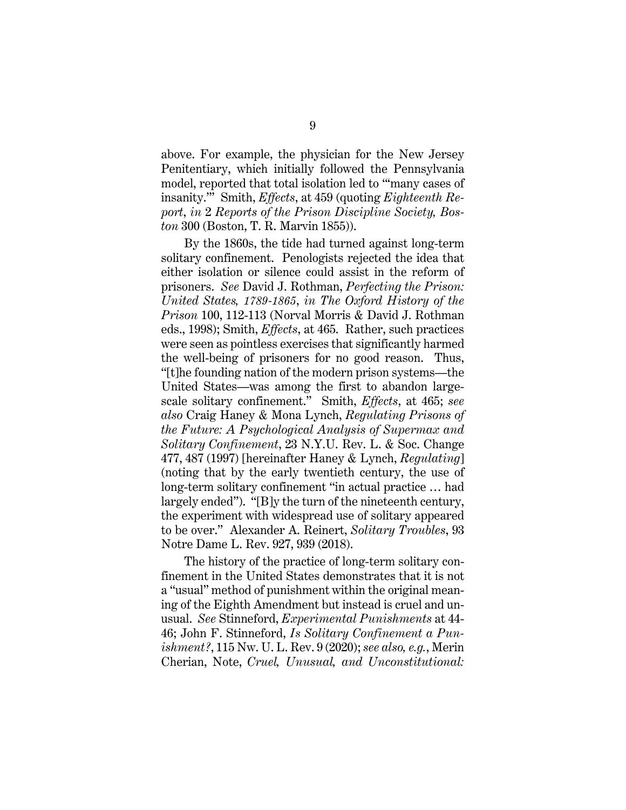above. For example, the physician for the New Jersey Penitentiary, which initially followed the Pennsylvania model, reported that total isolation led to "'many cases of insanity.'" Smith, *Effects*, at 459 (quoting *Eighteenth Report*, *in* 2 *Reports of the Prison Discipline Society, Boston* 300 (Boston, T. R. Marvin 1855)).

By the 1860s, the tide had turned against long-term solitary confinement. Penologists rejected the idea that either isolation or silence could assist in the reform of prisoners. *See* David J. Rothman, *Perfecting the Prison: United States, 1789-1865*, *in The Oxford History of the Prison* 100, 112-113 (Norval Morris & David J. Rothman eds., 1998); Smith, *Effects*, at 465. Rather, such practices were seen as pointless exercises that significantly harmed the well-being of prisoners for no good reason. Thus, "[t]he founding nation of the modern prison systems—the United States—was among the first to abandon largescale solitary confinement." Smith, *Effects*, at 465; *see also* Craig Haney & Mona Lynch, *Regulating Prisons of the Future: A Psychological Analysis of Supermax and Solitary Confinement*, 23 N.Y.U. Rev. L. & Soc. Change 477, 487 (1997) [hereinafter Haney & Lynch, *Regulating*] (noting that by the early twentieth century, the use of long-term solitary confinement "in actual practice … had largely ended"). "[B]y the turn of the nineteenth century, the experiment with widespread use of solitary appeared to be over." Alexander A. Reinert, *Solitary Troubles*, 93 Notre Dame L. Rev. 927, 939 (2018).

The history of the practice of long-term solitary confinement in the United States demonstrates that it is not a "usual" method of punishment within the original meaning of the Eighth Amendment but instead is cruel and unusual. *See* Stinneford, *Experimental Punishments* at 44- 46; John F. Stinneford, *Is Solitary Confinement a Punishment?*, 115 Nw. U. L. Rev. 9 (2020); *see also, e.g.*, Merin Cherian, Note, *Cruel, Unusual, and Unconstitutional:*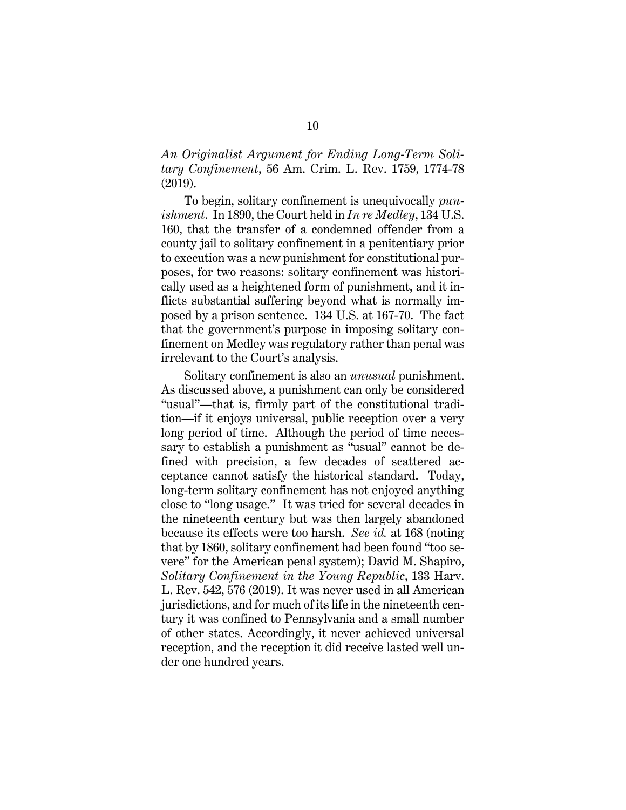*An Originalist Argument for Ending Long-Term Solitary Confinement*, 56 Am. Crim. L. Rev. 1759, 1774-78 (2019).

To begin, solitary confinement is unequivocally *punishment*. In 1890, the Court held in *In re Medley*, 134 U.S. 160, that the transfer of a condemned offender from a county jail to solitary confinement in a penitentiary prior to execution was a new punishment for constitutional purposes, for two reasons: solitary confinement was historically used as a heightened form of punishment, and it inflicts substantial suffering beyond what is normally imposed by a prison sentence. 134 U.S. at 167-70. The fact that the government's purpose in imposing solitary confinement on Medley was regulatory rather than penal was irrelevant to the Court's analysis.

Solitary confinement is also an *unusual* punishment. As discussed above, a punishment can only be considered "usual"—that is, firmly part of the constitutional tradition—if it enjoys universal, public reception over a very long period of time. Although the period of time necessary to establish a punishment as "usual" cannot be defined with precision, a few decades of scattered acceptance cannot satisfy the historical standard. Today, long-term solitary confinement has not enjoyed anything close to "long usage." It was tried for several decades in the nineteenth century but was then largely abandoned because its effects were too harsh. *See id.* at 168 (noting that by 1860, solitary confinement had been found "too severe" for the American penal system); David M. Shapiro, *Solitary Confinement in the Young Republic*, 133 Harv. L. Rev. 542, 576 (2019). It was never used in all American jurisdictions, and for much of its life in the nineteenth century it was confined to Pennsylvania and a small number of other states. Accordingly, it never achieved universal reception, and the reception it did receive lasted well under one hundred years.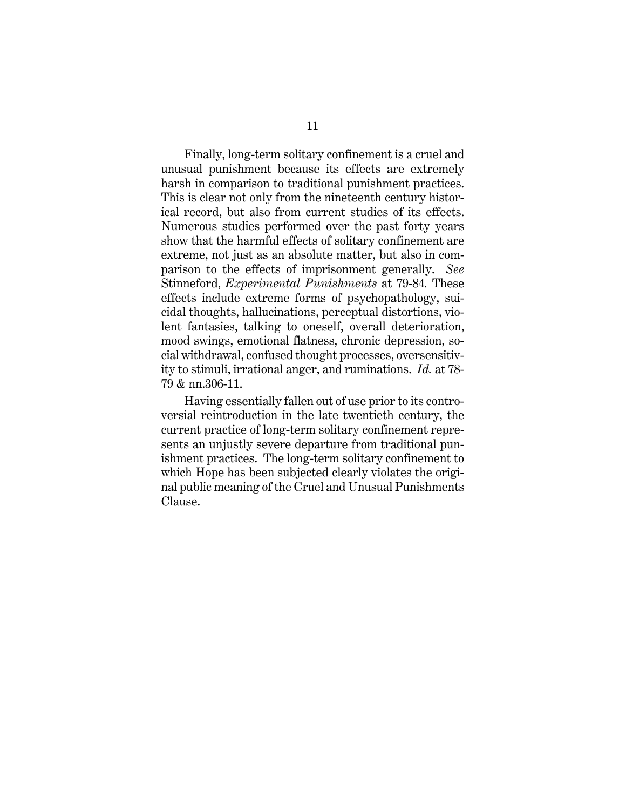Finally, long-term solitary confinement is a cruel and unusual punishment because its effects are extremely harsh in comparison to traditional punishment practices. This is clear not only from the nineteenth century historical record, but also from current studies of its effects. Numerous studies performed over the past forty years show that the harmful effects of solitary confinement are extreme, not just as an absolute matter, but also in comparison to the effects of imprisonment generally. *See*  Stinneford, *Experimental Punishments* at 79-84*.* These effects include extreme forms of psychopathology, suicidal thoughts, hallucinations, perceptual distortions, violent fantasies, talking to oneself, overall deterioration, mood swings, emotional flatness, chronic depression, social withdrawal, confused thought processes, oversensitivity to stimuli, irrational anger, and ruminations. *Id.* at 78- 79 & nn.306-11.

Having essentially fallen out of use prior to its controversial reintroduction in the late twentieth century, the current practice of long-term solitary confinement represents an unjustly severe departure from traditional punishment practices. The long-term solitary confinement to which Hope has been subjected clearly violates the original public meaning of the Cruel and Unusual Punishments Clause.